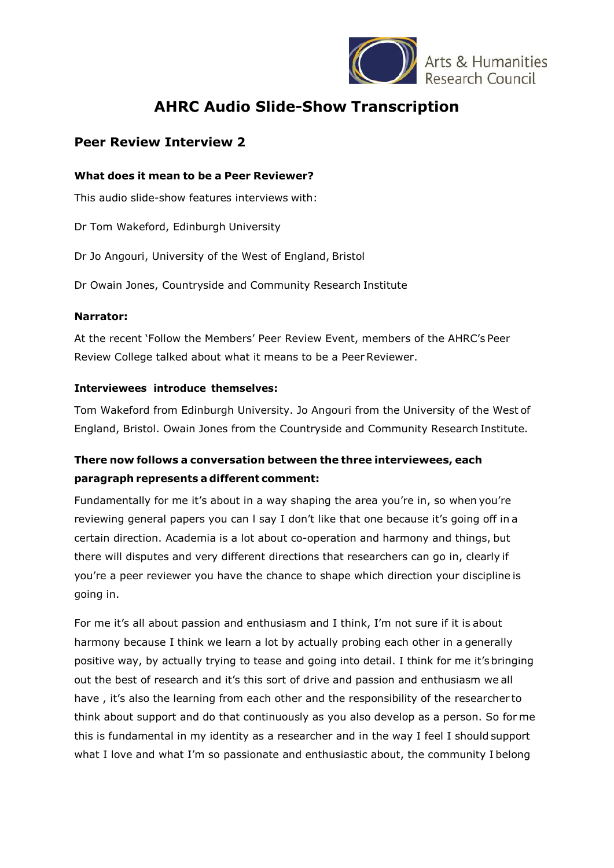

Arts & Humanities

# **AHRC Audio Slide-Show Transcription**

### **Peer Review Interview 2**

#### **What does it mean to be a Peer Reviewer?**

This audio slide-show features interviews with:

Dr Tom Wakeford, Edinburgh University

Dr Jo Angouri, University of the West of England, Bristol

Dr Owain Jones, Countryside and Community Research Institute

#### **Narrator:**

At the recent 'Follow the Members' Peer Review Event, members of the AHRC's Peer Review College talked about what it means to be a Peer Reviewer.

#### **Interviewees introduce themselves:**

Tom Wakeford from Edinburgh University. Jo Angouri from the University of the West of England, Bristol. Owain Jones from the Countryside and Community Research Institute.

## **There now follows a conversation between the three interviewees, each paragraph represents a different comment:**

Fundamentally for me it's about in a way shaping the area you're in, so when you're reviewing general papers you can l say I don't like that one because it's going off in a certain direction. Academia is a lot about co-operation and harmony and things, but there will disputes and very different directions that researchers can go in, clearly if you're a peer reviewer you have the chance to shape which direction your discipline is going in.

For me it's all about passion and enthusiasm and I think, I'm not sure if it is about harmony because I think we learn a lot by actually probing each other in a generally positive way, by actually trying to tease and going into detail. I think for me it'sbringing out the best of research and it's this sort of drive and passion and enthusiasm we all have, it's also the learning from each other and the responsibility of the researcher to think about support and do that continuously as you also develop as a person. So for me this is fundamental in my identity as a researcher and in the way I feel I should support what I love and what I'm so passionate and enthusiastic about, the community I belong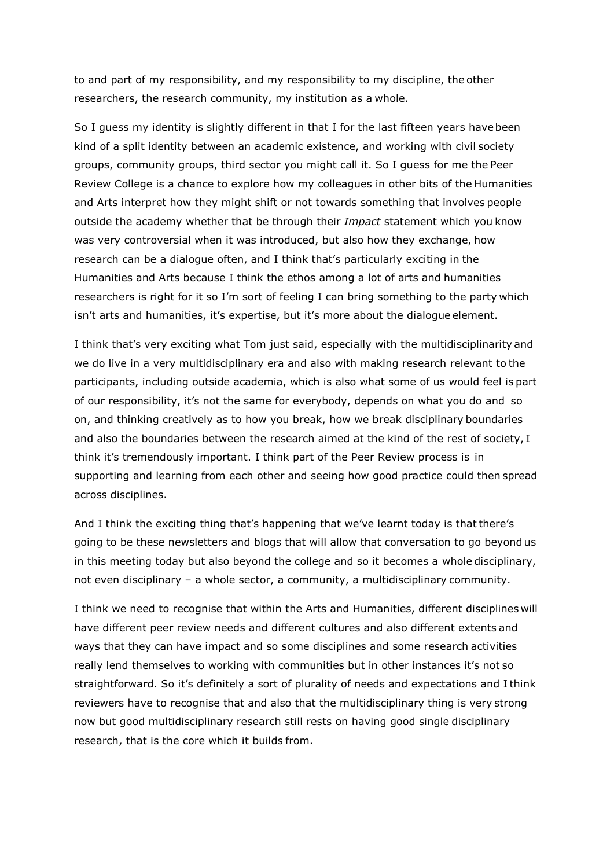to and part of my responsibility, and my responsibility to my discipline, the other researchers, the research community, my institution as a whole.

So I guess my identity is slightly different in that I for the last fifteen years havebeen kind of a split identity between an academic existence, and working with civil society groups, community groups, third sector you might call it. So I guess for me the Peer Review College is a chance to explore how my colleagues in other bits of the Humanities and Arts interpret how they might shift or not towards something that involves people outside the academy whether that be through their *Impact* statement which you know was very controversial when it was introduced, but also how they exchange, how research can be a dialogue often, and I think that's particularly exciting in the Humanities and Arts because I think the ethos among a lot of arts and humanities researchers is right for it so I'm sort of feeling I can bring something to the party which isn't arts and humanities, it's expertise, but it's more about the dialogue element.

I think that's very exciting what Tom just said, especially with the multidisciplinarity and we do live in a very multidisciplinary era and also with making research relevant to the participants, including outside academia, which is also what some of us would feel is part of our responsibility, it's not the same for everybody, depends on what you do and so on, and thinking creatively as to how you break, how we break disciplinary boundaries and also the boundaries between the research aimed at the kind of the rest of society, I think it's tremendously important. I think part of the Peer Review process is in supporting and learning from each other and seeing how good practice could then spread across disciplines.

And I think the exciting thing that's happening that we've learnt today is that there's going to be these newsletters and blogs that will allow that conversation to go beyond us in this meeting today but also beyond the college and so it becomes a whole disciplinary, not even disciplinary – a whole sector, a community, a multidisciplinary community.

I think we need to recognise that within the Arts and Humanities, different disciplines will have different peer review needs and different cultures and also different extents and ways that they can have impact and so some disciplines and some research activities really lend themselves to working with communities but in other instances it's not so straightforward. So it's definitely a sort of plurality of needs and expectations and I think reviewers have to recognise that and also that the multidisciplinary thing is very strong now but good multidisciplinary research still rests on having good single disciplinary research, that is the core which it builds from.